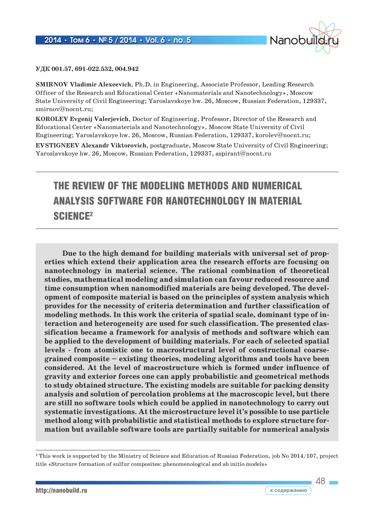

**УДК 001.57, 691-022.532, 004.942**

**SMIRNOV Vladimir Alexeevich**, Ph.D. in Engineering, Associate Professor, Leading Research Officer of the Research and Educational Center «Nanomaterials and Nanotechnology», Moscow State University of Civil Engineering; Yaroslavskoye hw. 26, Moscow, Russian Federation, 129337, smirnov@nocnt.ru;

**KOROLEV Evgenij Valerjevich**, Doctor of Engineering, Professor, Director of the Research and Educational Center «Nanomaterials and Nanotechnology», Moscow State University of Civil Engineering; Yaroslavskoye hw. 26, Moscow, Russian Federation, 129337, korolev@nocnt.ru;

**EVSTIGNEEV Alexandr Viktorovich**, postgraduate, Moscow State University of Civil Engineering; Yaroslavskoye hw. 26, Moscow, Russian Federation, 129337, aspirant@nocnt.ru

# THE REVIEW OF THE MODELING METHODS AND NUMERICAL ANALYSIS SOFTWARE FOR NANOTECHNOLOGY IN MATERIAL SCIENCE2

**Due to the high demand for building materials with universal set of properties which extend their application area the research efforts are focusing on nanotechnology in material science. The rational combination of theoretical studies, mathematical modeling and simulation can favour reduced resource and time consumption when nanomodified materials are being developed. The development of composite material is based on the principles of system analysis which provides for the necessity of criteria determination and further classification of modeling methods. In this work the criteria of spatial scale, dominant type of interaction and heterogeneity are used for such classification. The presented classification became a framework for analysis of methods and software which can be applied to the development of building materials. For each of selected spatial levels - from atomistic one to macrostructural level of constructional coarsegrained composite – existing theories, modeling algorithms and tools have been considered. At the level of macrostructure which is formed under influence of gravity and exterior forces one can apply probabilistic and geometrical methods to study obtained structure. The existing models are suitable for packing density analysis and solution of percolation problems at the macroscopic level, but there are still no software tools which could be applied in nanotechnology to carry out systematic investigations. At the microstructure level it's possible to use particle method along with probabilistic and statistical methods to explore structure formation but available software tools are partially suitable for numerical analysis** 

<sup>&</sup>lt;sup>2</sup> This work is supported by the Ministry of Science and Education of Russian Federation, job No 2014/107, project title «Structure formation of sulfur composites: phenomenological and ab initio models»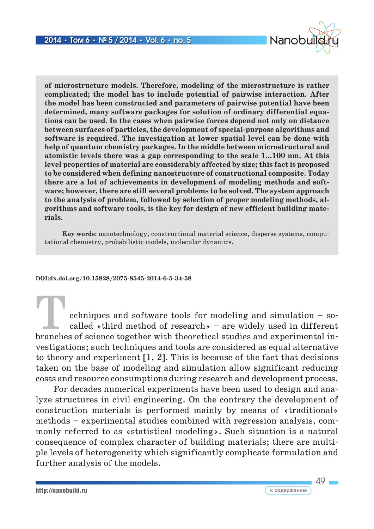

49

**of microstructure models. Therefore, modeling of the microstructure is rather complicated; the model has to include potential of pairwise interaction. After the model has been constructed and parameters of pairwise potential have been determined, many software packages for solution of ordinary differential equations can be used. In the cases when pairwise forces depend not only on distance between surfaces of particles, the development of special-purpose algorithms and software is required. The investigation at lower spatial level can be done with help of quantum chemistry packages. In the middle between microstructural and atomistic levels there was a gap corresponding to the scale 1...100 nm. At this level properties of material are considerably affected by size; this fact is proposed to be considered when defining nanostructure of constructional composite. Today there are a lot of achievements in development of modeling methods and software; however, there are still several problems to be solved. The system approach to the analysis of problem, followed by selection of proper modeling methods, algorithms and software tools, is the key for design of new efficient building materials.**

**Key words:** nanotechnology, constructional material science, disperse systems, computational chemistry, probabilistic models, molecular dynamics.

#### **DOI:dx.doi.org/10.15828/2075-8545-2014-6-5-34-58**

echniques and software tools for modeling and simulation  $-$  socalled «third method of research» – are widely used in different branches of science together with theoretical studies and experimental investigations; such techniques and tools are considered as equal alternative to theory and experiment [1, 2]. This is because of the fact that decisions taken on the base of modeling and simulation allow significant reducing costs and resource consumptions during research and development process.

For decades numerical experiments have been used to design and analyze structures in civil engineering. On the contrary the development of construction materials is performed mainly by means of «traditional» methods – experimental studies combined with regression analysis, commonly referred to as «statistical modeling». Such situation is a natural consequence of complex character of building materials; there are multiple levels of heterogeneity which significantly complicate formulation and further analysis of the models.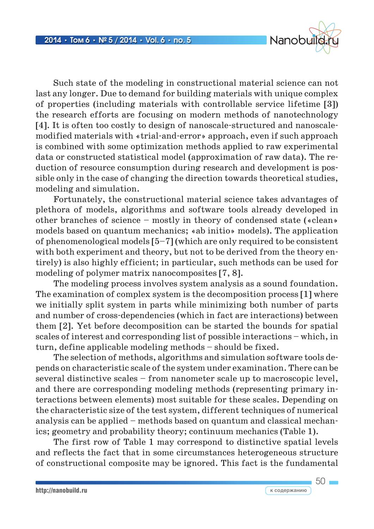

Such state of the modeling in constructional material science can not last any longer. Due to demand for building materials with unique complex of properties (including materials with controllable service lifetime [3]) the research efforts are focusing on modern methods of nanotechnology [4]. It is often too costly to design of nanoscale-structured and nanoscalemodified materials with «trial-and-error» approach, even if such approach is combined with some optimization methods applied to raw experimental data or constructed statistical model (approximation of raw data). The reduction of resource consumption during research and development is possible only in the case of changing the direction towards theoretical studies, modeling and simulation.

Fortunately, the constructional material science takes advantages of plethora of models, algorithms and software tools already developed in other branches of science – mostly in theory of condensed state («clean» models based on quantum mechanics; «ab initio» models). The application of phenomenological models [5–7] (which are only required to be consistent with both experiment and theory, but not to be derived from the theory entirely) is also highly efficient; in particular, such methods can be used for modeling of polymer matrix nanocomposites [7, 8].

The modeling process involves system analysis as a sound foundation. The examination of complex system is the decomposition process [1] where we initially split system in parts while minimizing both number of parts and number of cross-dependencies (which in fact are interactions) between them [2]. Yet before decomposition can be started the bounds for spatial scales of interest and corresponding list of possible interactions – which, in turn, define applicable modeling methods – should be fixed.

The selection of methods, algorithms and simulation software tools depends on characteristic scale of the system under examination. There can be several distinctive scales – from nanometer scale up to macroscopic level, and there are corresponding modeling methods (representing primary interactions between elements) most suitable for these scales. Depending on the characteristic size of the test system, different techniques of numerical analysis can be applied – methods based on quantum and classical mechanics; geometry and probability theory; continuum mechanics (Table 1).

The first row of Table 1 may correspond to distinctive spatial levels and reflects the fact that in some circumstances heterogeneous structure of constructional composite may be ignored. This fact is the fundamental

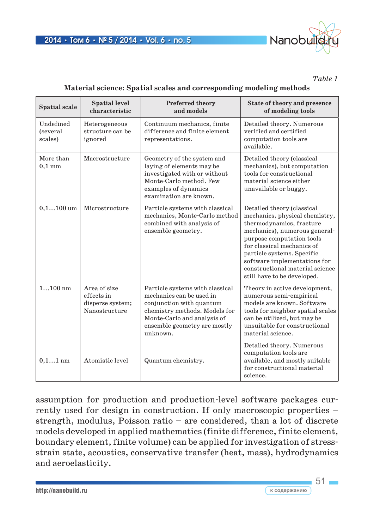

*Table 1*

#### **Material science: Spatial scales and corresponding modeling methods**

| <b>Spatial scale</b>             | <b>Spatial level</b><br>characteristic                          | <b>Preferred theory</b><br>and models                                                                                                                                                               | State of theory and presence<br>of modeling tools                                                                                                                                                                                                                                                                    |
|----------------------------------|-----------------------------------------------------------------|-----------------------------------------------------------------------------------------------------------------------------------------------------------------------------------------------------|----------------------------------------------------------------------------------------------------------------------------------------------------------------------------------------------------------------------------------------------------------------------------------------------------------------------|
| Undefined<br>(several<br>scales) | Heterogeneous<br>structure can be<br>ignored                    | Continuum mechanics, finite<br>difference and finite element<br>representations.                                                                                                                    | Detailed theory. Numerous<br>verified and certified<br>computation tools are<br>available.                                                                                                                                                                                                                           |
| More than<br>$0,1 \text{ mm}$    | Macrostructure                                                  | Geometry of the system and<br>laying of elements may be<br>investigated with or without<br>Monte-Carlo method. Few<br>examples of dynamics<br>examination are known.                                | Detailed theory (classical<br>mechanics), but computation<br>tools for constructional<br>material science either<br>unavailable or buggy.                                                                                                                                                                            |
| $0, 1100$ um                     | Microstructure                                                  | Particle systems with classical<br>mechanics, Monte-Carlo method<br>combined with analysis of<br>ensemble geometry.                                                                                 | Detailed theory (classical<br>mechanics, physical chemistry,<br>thermodynamics, fracture<br>mechanics), numerous general-<br>purpose computation tools<br>for classical mechanics of<br>particle systems. Specific<br>software implementations for<br>constructional material science<br>still have to be developed. |
| $1100$ nm                        | Area of size<br>effects in<br>disperse system;<br>Nanostructure | Particle systems with classical<br>mechanics can be used in<br>conjunction with quantum<br>chemistry methods. Models for<br>Monte-Carlo and analysis of<br>ensemble geometry are mostly<br>unknown. | Theory in active development,<br>numerous semi-empirical<br>models are known. Software<br>tools for neighbor spatial scales<br>can be utilized, but may be<br>unsuitable for constructional<br>material science.                                                                                                     |
| $0, 11$ nm                       | Atomistic level                                                 | Quantum chemistry.                                                                                                                                                                                  | Detailed theory. Numerous<br>computation tools are<br>available, and mostly suitable<br>for constructional material<br>science.                                                                                                                                                                                      |

assumption for production and production-level software packages currently used for design in construction. If only macroscopic properties – strength, modulus, Poisson ratio – are considered, than a lot of discrete models developed in applied mathematics (finite difference, finite element, boundary element, finite volume) can be applied for investigation of stressstrain state, acoustics, conservative transfer (heat, mass), hydrodynamics and aeroelasticity.

 $51 -$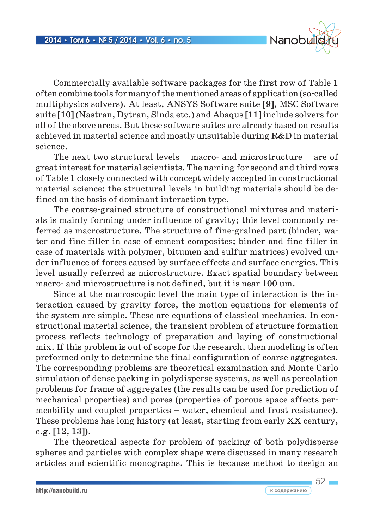

Commercially available software packages for the first row of Table 1 often combine tools for many of the mentioned areas of application (so-called multiphysics solvers). At least, ANSYS Software suite [9], MSC Software suite [10] (Nastran, Dytran, Sinda etc.) and Abaqus [11] include solvers for all of the above areas. But these software suites are already based on results achieved in material science and mostly unsuitable during R&D in material science.

The next two structural levels – macro- and microstructure – are of great interest for material scientists. The naming for second and third rows of Table 1 closely connected with concept widely accepted in constructional material science: the structural levels in building materials should be defined on the basis of dominant interaction type.

The coarse-grained structure of constructional mixtures and materials is mainly forming under influence of gravity; this level commonly referred as macrostructure. The structure of fine-grained part (binder, water and fine filler in case of cement composites; binder and fine filler in case of materials with polymer, bitumen and sulfur matrices) evolved under influence of forces caused by surface effects and surface energies. This level usually referred as microstructure. Exact spatial boundary between macro- and microstructure is not defined, but it is near 100 um.

Since at the macroscopic level the main type of interaction is the interaction caused by gravity force, the motion equations for elements of the system are simple. These are equations of classical mechanics. In constructional material science, the transient problem of structure formation process reflects technology of preparation and laying of constructional mix. If this problem is out of scope for the research, then modeling is often preformed only to determine the final configuration of coarse aggregates. The corresponding problems are theoretical examination and Monte Carlo simulation of dense packing in polydisperse systems, as well as percolation problems for frame of aggregates (the results can be used for prediction of mechanical properties) and pores (properties of porous space affects permeability and coupled properties – water, chemical and frost resistance). These problems has long history (at least, starting from early XX century, e.g. [12, 13]).

The theoretical aspects for problem of packing of both polydisperse spheres and particles with complex shape were discussed in many research articles and scientific monographs. This is because method to design an

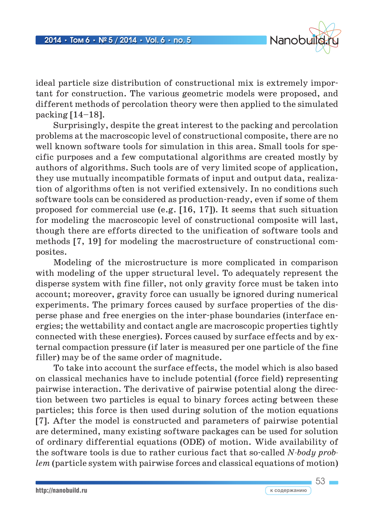

ideal particle size distribution of constructional mix is extremely important for construction. The various geometric models were proposed, and different methods of percolation theory were then applied to the simulated packing  $[14-18]$ .

Surprisingly, despite the great interest to the packing and percolation problems at the macroscopic level of constructional composite, there are no well known software tools for simulation in this area. Small tools for specific purposes and a few computational algorithms are created mostly by authors of algorithms. Such tools are of very limited scope of application, they use mutually incompatible formats of input and output data, realization of algorithms often is not verified extensively. In no conditions such software tools can be considered as production-ready, even if some of them proposed for commercial use (e.g. [16, 17]). It seems that such situation for modeling the macroscopic level of constructional composite will last, though there are efforts directed to the unification of software tools and methods [7, 19] for modeling the macrostructure of constructional composites.

Modeling of the microstructure is more complicated in comparison with modeling of the upper structural level. To adequately represent the disperse system with fine filler, not only gravity force must be taken into account; moreover, gravity force can usually be ignored during numerical experiments. The primary forces caused by surface properties of the disperse phase and free energies on the inter-phase boundaries (interface energies; the wettability and contact angle are macroscopic properties tightly connected with these energies). Forces caused by surface effects and by external compaction pressure (if later is measured per one particle of the fine filler) may be of the same order of magnitude.

To take into account the surface effects, the model which is also based on classical mechanics have to include potential (force field) representing pairwise interaction. The derivative of pairwise potential along the direction between two particles is equal to binary forces acting between these particles; this force is then used during solution of the motion equations [7]. After the model is constructed and parameters of pairwise potential are determined, many existing software packages can be used for solution of ordinary differential equations (ODE) of motion. Wide availability of the software tools is due to rather curious fact that so-called *N-body problem* (particle system with pairwise forces and classical equations of motion)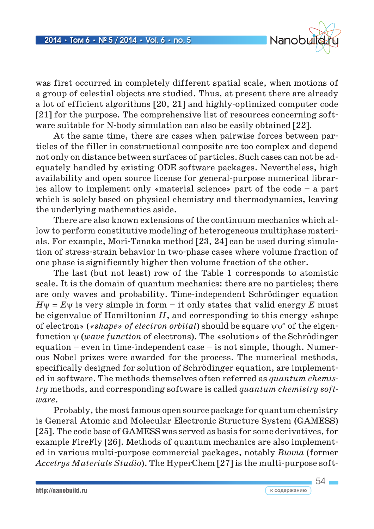

was first occurred in completely different spatial scale, when motions of a group of celestial objects are studied. Thus, at present there are already a lot of efficient algorithms [20, 21] and highly-optimized computer code [21] for the purpose. The comprehensive list of resources concerning software suitable for N-body simulation can also be easily obtained [22].

At the same time, there are cases when pairwise forces between particles of the filler in constructional composite are too complex and depend not only on distance between surfaces of particles. Such cases can not be adequately handled by existing ODE software packages. Nevertheless, high availability and open source license for general-purpose numerical libraries allow to implement only «material science» part of the code – a part which is solely based on physical chemistry and thermodynamics, leaving the underlying mathematics aside.

There are also known extensions of the continuum mechanics which allow to perform constitutive modeling of heterogeneous multiphase materials. For example, Mori-Tanaka method [23, 24] can be used during simulation of stress-strain behavior in two-phase cases where volume fraction of one phase is significantly higher then volume fraction of the other.

The last (but not least) row of the Table 1 corresponds to atomistic scale. It is the domain of quantum mechanics: there are no particles; there are only waves and probability. Time-independent Schrödinger equation  $H \psi = E \psi$  is very simple in form – it only states that valid energy *E* must be eigenvalue of Hamiltonian *H*, and corresponding to this energy «shape of electron» (*«shape» of electron orbital*) should be square ψψ∗ of the eigenfunction ψ (*wave function* of electrons). The «solution» of the Schrödinger equation – even in time-independent case – is not simple, though. Numerous Nobel prizes were awarded for the process. The numerical methods, specifically designed for solution of Schrödinger equation, are implemented in software. The methods themselves often referred as *quantum chemistry* methods, and corresponding software is called *quantum chemistry software*.

Probably, the most famous open source package for quantum chemistry is General Atomic and Molecular Electronic Structure System (GAMESS) [25]. The code base of GAMESS was served as basis for some derivatives, for example FireFly [26]. Methods of quantum mechanics are also implemented in various multi-purpose commercial packages, notably *Biovia* (former *Accelrys Materials Studio*). The HyperChem [27] is the multi-purpose soft-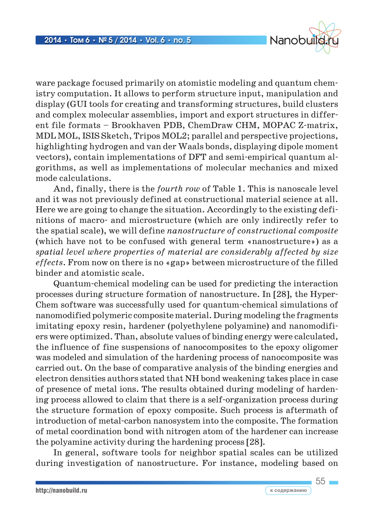

ware package focused primarily on atomistic modeling and quantum chemistry computation. It allows to perform structure input, manipulation and display (GUI tools for creating and transforming structures, build clusters and complex molecular assemblies, import and export structures in different file formats – Brookhaven PDB, ChemDraw CHM, MOPAC Z-matrix, MDL MOL, ISIS Sketch, Tripos MOL2; parallel and perspective projections, highlighting hydrogen and van der Waals bonds, displaying dipole moment vectors), contain implementations of DFT and semi-empirical quantum algorithms, as well as implementations of molecular mechanics and mixed mode calculations.

And, finally, there is the *fourth row* of Table 1. This is nanoscale level and it was not previously defined at constructional material science at all. Here we are going to change the situation. Accordingly to the existing definitions of macro- and microstructure (which are only indirectly refer to the spatial scale), we will define *nanostructure of constructional composite* (which have not to be confused with general term «nanostructure») as a *spatial level where properties of material are considerably affected by size effects*. From now on there is no «gap» between microstructure of the filled binder and atomistic scale.

Quantum-chemical modeling can be used for predicting the interaction processes during structure formation of nanostructure. In [28], the Hyper-Chem software was successfully used for quantum-chemical simulations of nanomodified polymeric composite material. During modeling the fragments imitating epoxy resin, hardener (polyethylene polyamine) and nanomodifiers were optimized. Than, absolute values of binding energy were calculated, the influence of fine suspensions of nanocomposites to the epoxy oligomer was modeled and simulation of the hardening process of nanocomposite was carried out. On the base of comparative analysis of the binding energies and electron densities authors stated that NH bond weakening takes place in case of presence of metal ions. The results obtained during modeling of hardening process allowed to claim that there is a self-organization process during the structure formation of epoxy composite. Such process is aftermath of introduction of metal-carbon nanosystem into the composite. The formation of metal coordination bond with nitrogen atom of the hardener can increase the polyamine activity during the hardening process [28].

In general, software tools for neighbor spatial scales can be utilized during investigation of nanostructure. For instance, modeling based on

 $55 -$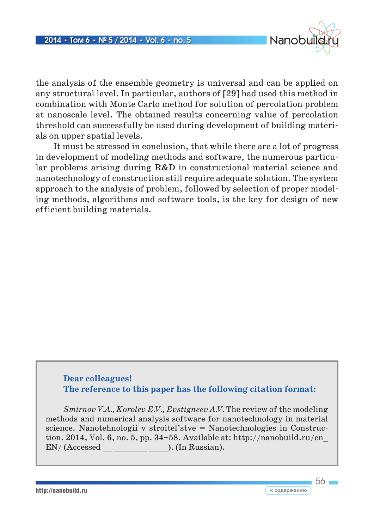

56

the analysis of the ensemble geometry is universal and can be applied on any structural level. In particular, authors of [29] had used this method in combination with Monte Carlo method for solution of percolation problem at nanoscale level. The obtained results concerning value of percolation threshold can successfully be used during development of building materials on upper spatial levels.

It must be stressed in conclusion, that while there are a lot of progress in development of modeling methods and software, the numerous particular problems arising during R&D in constructional material science and nanotechnology of construction still require adequate solution. The system approach to the analysis of problem, followed by selection of proper modeling methods, algorithms and software tools, is the key for design of new efficient building materials.

## **Dear colleagues! The reference to this paper has the following citation format:**

*Smirnov V.A., Korolev E.V., Evstigneev A.V.* The review of the modeling methods and numerical analysis software for nanotechnology in material science. Nanotehnologii v stroitel'stve = Nanotechnologies in Construction. 2014, Vol. 6, no. 5, рр. 34–58. Available at: http://nanobuild.ru/en\_  $EN/$  (Accessed  $\_\_$   $\_\_$ ). (In Russian).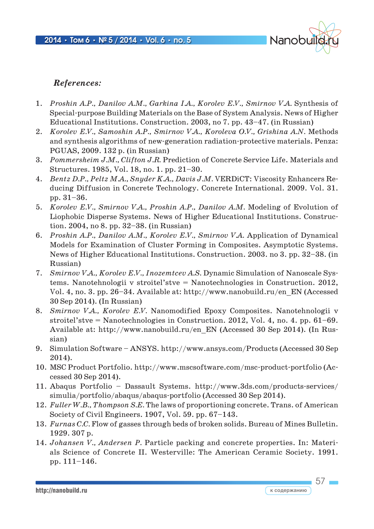

 $57 \square$ 

### *References:*

- 1. *Proshin A.P., Danilov A.M., Garkina I.A., Korolev E.V., Smirnov V.A.* Synthesis of Special-purpose Building Materials on the Base of System Analysis. News of Higher Educational Institutions. Construction. 2003, no 7. pp. 43–47. (in Russian)
- 2. *Korolev E.V., Samoshin A.P., Smirnov V.A., Koroleva O.V., Grishina A.N.* Methods and synthesis algorithms of new-generation radiation-protective materials. Penza: PGUAS, 2009. 132 p. (in Russian)
- 3. *Pommersheim J.M., Clifton J.R.* Prediction of Concrete Service Life. Materials and Structures. 1985, Vol. 18, no. 1. pp. 21–30.
- 4. *Bentz D.P., Peltz M.A., Snyder K.A., Davis J.M.* VERDiCT: Viscosity Enhancers Reducing Diffusion in Concrete Technology. Concrete International. 2009. Vol. 31. pp. 31–36.
- 5. *Korolev E.V., Smirnov V.A., Proshin A.P., Danilov A.M.* Modeling of Evolution of Liophobic Disperse Systems. News of Higher Educational Institutions. Construction. 2004, no 8. pp. 32–38. (in Russian)
- 6. *Proshin A.P., Danilov A.M., Korolev E.V., Smirnov V.A.* Application of Dynamical Models for Examination of Cluster Forming in Composites. Asymptotic Systems. News of Higher Educational Institutions. Construction. 2003. no 3. pp. 32–38. (in Russian)
- 7. *Smirnov V.A., Korolev E.V., Inozemtcev A.S.* Dynamic Simulation of Nanoscale Systems. Nanotehnologii v stroitel'stve = Nanotechnologies in Construction. 2012, Vol. 4, no. 3. pp. 26–34. Available at: http://www.nanobuild.ru/en\_EN (Accessed 30 Sep 2014). (In Russian)
- 8. *Smirnov V.A., Korolev E.V.* Nanomodified Epoxy Composites. Nanotehnologii v stroitel'stve = Nanotechnologies in Construction. 2012, Vol. 4, no. 4. pp. 61–69. Available at: http://www.nanobuild.ru/en\_EN (Accessed 30 Sep 2014). (In Russian)
- 9. Simulation Software ANSYS. http://www.ansys.com/Products (Accessed 30 Sep 2014).
- 10. MSC Product Portfolio. http://www.mscsoftware.com/msc-product-portfolio (Accessed 30 Sep 2014).
- 11. Abaqus Portfolio Dassault Systems. http://www.3ds.com/products-services/ simulia/portfolio/abaqus/abaqus-portfolio (Accessed 30 Sep 2014).
- 12. *Fuller W.B., Thompson S.E.* The laws of proportioning concrete. Trans. of American Society of Civil Engineers. 1907, Vol. 59. pp. 67–143.
- 13. *Furnas C.C.* Flow of gasses through beds of broken solids. Bureau of Mines Bulletin. 1929. 307 p.
- 14. *Johansen V., Andersen P.* Particle packing and concrete properties. In: Materials Science of Concrete II. Westerville: The American Ceramic Society. 1991. pp. 111–146.